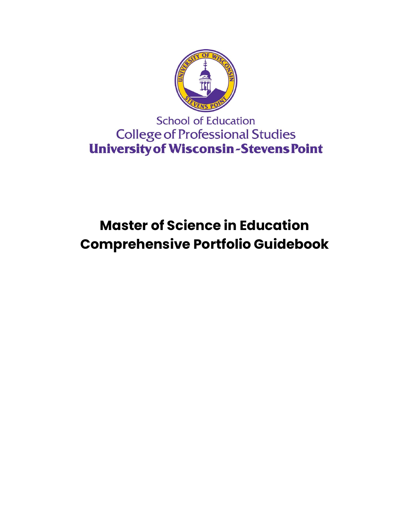

**School of Education College of Professional Studies University of Wisconsin-Stevens Point** 

# **Master of Science in Education Comprehensive Portfolio Guidebook**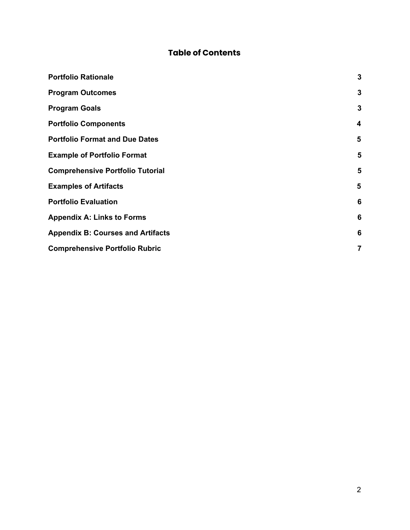# **Table of Contents**

| <b>Portfolio Rationale</b>               | $\mathbf{3}$ |  |
|------------------------------------------|--------------|--|
| <b>Program Outcomes</b>                  | $\mathbf{3}$ |  |
| <b>Program Goals</b>                     | 3            |  |
| <b>Portfolio Components</b>              | 4            |  |
| <b>Portfolio Format and Due Dates</b>    | 5            |  |
| <b>Example of Portfolio Format</b>       | 5            |  |
| <b>Comprehensive Portfolio Tutorial</b>  | 5            |  |
| <b>Examples of Artifacts</b>             | 5            |  |
| <b>Portfolio Evaluation</b>              |              |  |
| <b>Appendix A: Links to Forms</b>        |              |  |
| <b>Appendix B: Courses and Artifacts</b> |              |  |
| <b>Comprehensive Portfolio Rubric</b>    |              |  |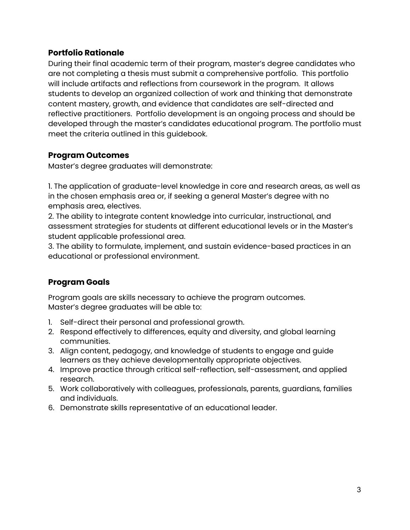# <span id="page-2-0"></span>**Portfolio Rationale**

During their final academic term of their program, master's degree candidates who are not completing a thesis must submit a comprehensive portfolio. This portfolio will include artifacts and reflections from coursework in the program. It allows students to develop an organized collection of work and thinking that demonstrate content mastery, growth, and evidence that candidates are self-directed and reflective practitioners. Portfolio development is an ongoing process and should be developed through the master's candidates educational program. The portfolio must meet the criteria outlined in this guidebook.

# <span id="page-2-1"></span>**Program Outcomes**

Master's degree graduates will demonstrate:

1. The application of graduate-level knowledge in core and research areas, as well as in the chosen emphasis area or, if seeking a general Master's degree with no emphasis area, electives.

2. The ability to integrate content knowledge into curricular, instructional, and assessment strategies for students at different educational levels or in the Master's student applicable professional area.

3. The ability to formulate, implement, and sustain evidence-based practices in an educational or professional environment.

# <span id="page-2-2"></span>**Program Goals**

Program goals are skills necessary to achieve the program outcomes. Master's degree graduates will be able to:

- 1. Self-direct their personal and professional growth.
- 2. Respond effectively to differences, equity and diversity, and global learning communities.
- 3. Align content, pedagogy, and knowledge of students to engage and guide learners as they achieve developmentally appropriate objectives.
- 4. Improve practice through critical self-reflection, self-assessment, and applied research.
- 5. Work collaboratively with colleagues, professionals, parents, guardians, families and individuals.
- 6. Demonstrate skills representative of an educational leader.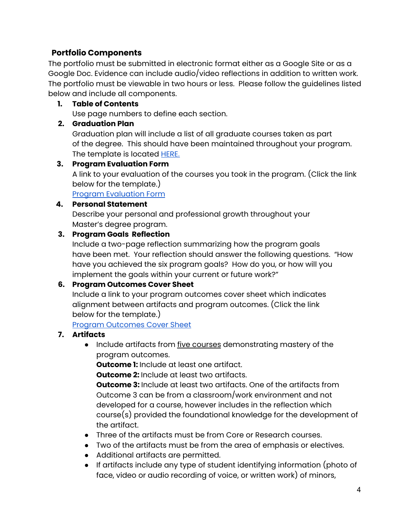# <span id="page-3-0"></span>**Portfolio Components**

The portfolio must be submitted in electronic format either as a Google Site or as a Google Doc. Evidence can include audio/video reflections in addition to written work. The portfolio must be viewable in two hours or less. Please follow the guidelines listed below and include all components.

#### **1. Table of Contents**

Use page numbers to define each section.

#### **2. Graduation Plan**

Graduation plan will include a list of all graduate courses taken as part of the degree. This should have been maintained throughout your program. The template is located **[HERE.](https://drive.google.com/open?id=1M_deMcnLAJrmZGGLU9P62EcTZdiVziLSiQr--O6OluI)** 

#### **3. Program Evaluation Form**

A link to your evaluation of the courses you took in the program. (Click the link below for the template.)

Program [Evaluation](https://docs.google.com/spreadsheets/d/1Pre6tJLF6PMyX6O1Yo8YVpwL2qYzR0siWPLvWxtVOXg/copy) Form

#### **4. Personal Statement**

Describe your personal and professional growth throughout your Master's degree program.

#### **3. Program Goals Reflection**

Include a two-page reflection summarizing how the program goals have been met. Your reflection should answer the following questions. "How have you achieved the six program goals? How do you, or how will you implement the goals within your current or future work?"

# **6. Program Outcomes Cover Sheet**

Include a link to your program outcomes cover sheet which indicates alignment between artifacts and program outcomes. (Click the link below for the template.)

Program [Outcomes](https://docs.google.com/spreadsheets/d/1q__Df47EhMZLocf8p8sLzoR1fK74t_PLShbmBsJyvi4/copy) Cover Sheet

# **7. Artifacts**

● Include artifacts from five courses demonstrating mastery of the program outcomes.

**Outcome 1:** Include at least one artifact.

**Outcome 2:** Include at least two artifacts.

**Outcome 3:** Include at least two artifacts. One of the artifacts from Outcome 3 can be from a classroom/work environment and not developed for a course, however includes in the reflection which course(s) provided the foundational knowledge for the development of the artifact.

- Three of the artifacts must be from Core or Research courses.
- Two of the artifacts must be from the area of emphasis or electives.
- Additional artifacts are permitted.
- If artifacts include any type of student identifying information (photo of face, video or audio recording of voice, or written work) of minors,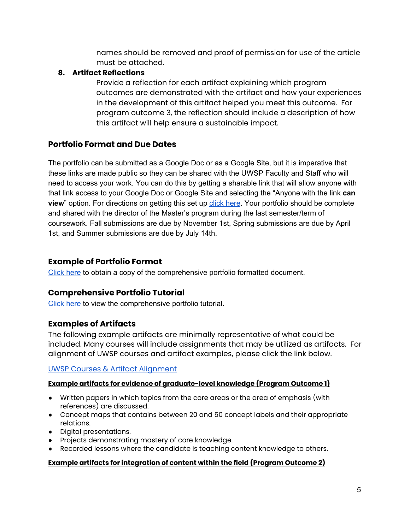names should be removed and proof of permission for use of the article must be attached.

# **8. Artifact Reflections**

Provide a reflection for each artifact explaining which program outcomes are demonstrated with the artifact and how your experiences in the development of this artifact helped you meet this outcome. For program outcome 3, the reflection should include a description of how this artifact will help ensure a sustainable impact.

# <span id="page-4-0"></span>**Portfolio Format and Due Dates**

The portfolio can be submitted as a Google Doc or as a Google Site, but it is imperative that these links are made public so they can be shared with the UWSP Faculty and Staff who will need to access your work. You can do this by getting a sharable link that will allow anyone with that link access to your Google Doc or Google Site and selecting the "Anyone with the link **can view**" option. For directions on getting this set up [click here](https://support.google.com/docs/answer/2494822?hl=en&co=GENIE.Platform=Desktop). Your portfolio should be complete and shared with the director of the Master's program during the last semester/term of coursework. Fall submissions are due by November 1st, Spring submissions are due by April 1st, and Summer submissions are due by July 14th.

# <span id="page-4-1"></span>**Example of Portfolio Format**

[Click here](https://docs.google.com/document/d/1TmYVevxp_is3BxM5LuuGRIajlQPOPPMla7_rhq9wljk/edit?usp=sharing) to obtain a copy of the comprehensive portfolio formatted document.

# <span id="page-4-2"></span>**Comprehensive Portfolio Tutorial**

[Click here](https://drive.google.com/file/d/1byWacMWO_MywbzexdDrahaydATS7tlwq/view?usp=sharing) to view the comprehensive portfolio tutorial.

# <span id="page-4-3"></span>**Examples of Artifacts**

The following example artifacts are minimally representative of what could be included. Many courses will include assignments that may be utilized as artifacts. For alignment of UWSP courses and artifact examples, please click the link below.

# [UWSP Courses & Artifact Alignment](https://www.uwsp.edu/education/Documents/Graduate/MasterDegrees/FINAL%202021%20Artifacts%20Outcomes%20Examples%20List.pdf)

# **Example artifacts for evidence of graduate-level knowledge (Program Outcome 1)**

- Written papers in which topics from the core areas or the area of emphasis (with references) are discussed.
- Concept maps that contains between 20 and 50 concept labels and their appropriate relations.
- Digital presentations.
- Projects demonstrating mastery of core knowledge.
- Recorded lessons where the candidate is teaching content knowledge to others.

#### **Example artifacts for integration of content within the field (Program Outcome 2)**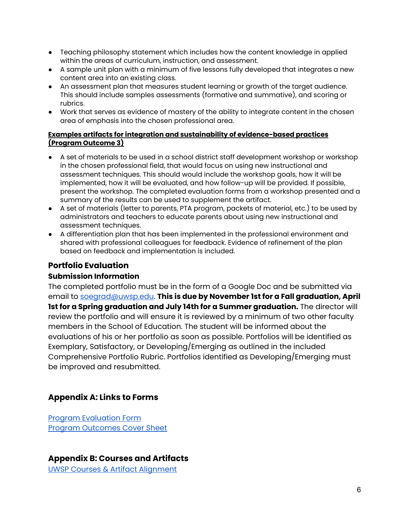- Teaching philosophy statement which includes how the content knowledge in applied within the areas of curriculum, instruction, and assessment.
- A sample unit plan with a minimum of five lessons fully developed that integrates a new content area into an existing class.
- An assessment plan that measures student learning or growth of the target audience. This should include samples assessments (formative and summative), and scoring or rubrics.
- Work that serves as evidence of mastery of the ability to integrate content in the chosen area of emphasis into the chosen professional area.

#### **Examples artifacts for integration and sustainability of evidence-based practices (Program Outcome 3)**

- A set of materials to be used in a school district staff development workshop or workshop in the chosen professional field, that would focus on using new instructional and assessment techniques. This should would include the workshop goals, how it will be implemented, how it will be evaluated, and how follow-up will be provided. If possible, present the workshop. The completed evaluation forms from a workshop presented and a summary of the results can be used to supplement the artifact.
- A set of materials (letter to parents, PTA program, packets of material, etc.) to be used by administrators and teachers to educate parents about using new instructional and assessment techniques.
- A differentiation plan that has been implemented in the professional environment and shared with professional colleagues for feedback. Evidence of refinement of the plan based on feedback and implementation is included.

# <span id="page-5-0"></span>**Portfolio Evaluation**

#### **Submission Information**

The completed portfolio must be in the form of a Google Doc and be submitted via email to [soegrad@uwsp.edu.](mailto:soegrad@uwsp.edu) **This is due by November 1st for a Fall graduation, April 1st for a Spring graduation and July 14th for a Summer graduation.** The director will review the portfolio and will ensure it is reviewed by a minimum of two other faculty members in the School of Education. The student will be informed about the evaluations of his or her portfolio as soon as possible. Portfolios will be identified as Exemplary, Satisfactory, or Developing/Emerging as outlined in the included Comprehensive Portfolio Rubric. Portfolios identified as Developing/Emerging must be improved and resubmitted.

# <span id="page-5-1"></span>**Appendix A: Links to Forms**

Program [Evaluation](https://docs.google.com/spreadsheets/d/1Pre6tJLF6PMyX6O1Yo8YVpwL2qYzR0siWPLvWxtVOXg/copy) Form Program [Outcomes](https://docs.google.com/spreadsheets/u/1/d/1q__Df47EhMZLocf8p8sLzoR1fK74t_PLShbmBsJyvi4/copy) Cover Sheet

# <span id="page-5-2"></span>**Appendix B: Courses and Artifacts**

UWSP Courses & Artifact [Alignment](https://docs.google.com/spreadsheets/d/1caiTJsOKZFT0XUazfpV9vkrIjaUvgkKLTLRIe_t2zJI/edit?usp=sharing)